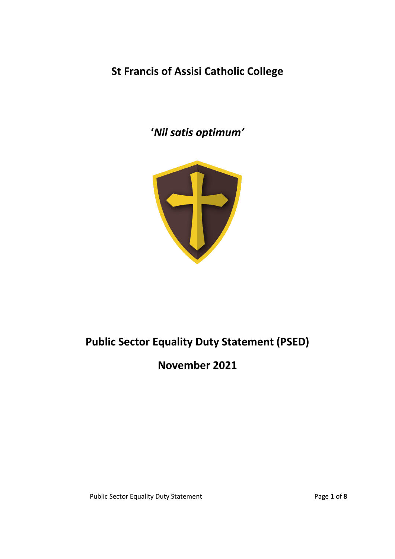**St Francis of Assisi Catholic College**

**'***Nil satis optimum'*



# **Public Sector Equality Duty Statement (PSED)**

**November 2021**

Public Sector Equality Duty Statement Public Sector Equality Duty Statement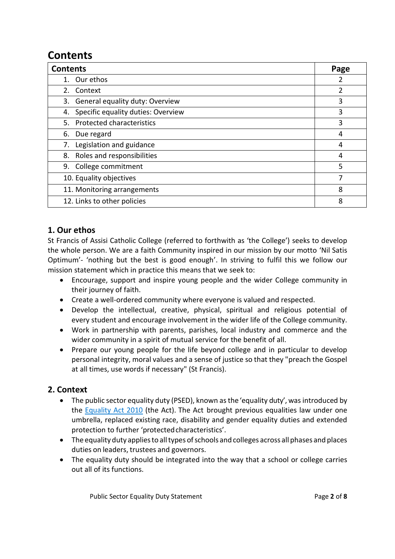## **Contents**

| <b>Contents</b>                          | Page           |
|------------------------------------------|----------------|
| 1. Our ethos                             | 2              |
| 2. Context                               | $\overline{2}$ |
| 3. General equality duty: Overview       | 3              |
| Specific equality duties: Overview<br>4. | 3              |
| 5. Protected characteristics             | 3              |
| 6. Due regard                            | 4              |
| Legislation and guidance<br>7.           | 4              |
| Roles and responsibilities<br>8.         | 4              |
| 9. College commitment                    | 5              |
| 10. Equality objectives                  | 7              |
| 11. Monitoring arrangements              | 8              |
| 12. Links to other policies              | 8              |

## **1. Our ethos**

St Francis of Assisi Catholic College (referred to forthwith as 'the College') seeks to develop the whole person. We are a faith Community inspired in our mission by our motto 'Nil Satis Optimum'- 'nothing but the best is good enough'. In striving to fulfil this we follow our mission statement which in practice this means that we seek to:

- Encourage, support and inspire young people and the wider College community in their journey of faith.
- Create a well-ordered community where everyone is valued and respected.
- Develop the intellectual, creative, physical, spiritual and religious potential of every student and encourage involvement in the wider life of the College community.
- Work in partnership with parents, parishes, local industry and commerce and the wider community in a spirit of mutual service for the benefit of all.
- Prepare our young people for the life beyond college and in particular to develop personal integrity, moral values and a sense of justice so that they "preach the Gospel at all times, use words if necessary" (St Francis).

## **2. Context**

- The public sector equality duty (PSED), known as the 'equality duty', was introduced by the [Equality](http://www.legislation.gov.uk/ukpga/2010/15/contents) Act 2010 (the Act). The Act brought previous equalities law under one umbrella, replaced existing race, disability and gender equality duties and extended protection to further 'protected characteristics'.
- The equality duty applies to all types of schools and colleges across all phases and places duties on leaders, trustees and governors.
- The equality duty should be integrated into the way that a school or college carries out all of its functions.

Public Sector Equality Duty Statement **Page 2** of 8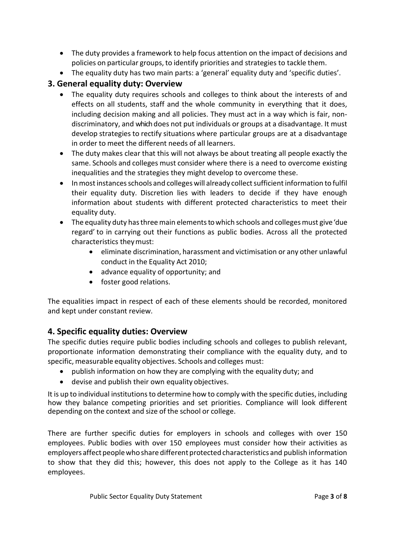- The duty provides a framework to help focus attention on the impact of decisions and policies on particular groups, to identify priorities and strategies to tackle them.
- The equality duty has two main parts: a 'general' equality duty and 'specific duties'.

## **3. General equality duty: Overview**

- The equality duty requires schools and colleges to think about the interests of and effects on all students, staff and the whole community in everything that it does, including decision making and all policies. They must act in a way which is fair, nondiscriminatory, and which does not put individuals or groups at a disadvantage. It must develop strategies to rectify situations where particular groups are at a disadvantage in order to meet the different needs of all learners.
- The duty makes clear that this will not always be about treating all people exactly the same. Schools and colleges must consider where there is a need to overcome existing inequalities and the strategies they might develop to overcome these.
- In most instances schools and colleges will already collect sufficient information to fulfil their equality duty. Discretion lies with leaders to decide if they have enough information about students with different protected characteristics to meet their equality duty.
- The equality duty has three main elements to which schools and colleges must give 'due regard' to in carrying out their functions as public bodies. Across all the protected characteristics theymust:
	- eliminate discrimination, harassment and victimisation or any other unlawful conduct in the Equality Act 2010;
	- advance equality of opportunity; and
	- foster good relations.

The equalities impact in respect of each of these elements should be recorded, monitored and kept under constant review.

## **4. Specific equality duties: Overview**

The specific duties require public bodies including schools and colleges to publish relevant, proportionate information demonstrating their compliance with the equality duty, and to specific, measurable equality objectives. Schools and colleges must:

- publish information on how they are complying with the equality duty; and
- devise and publish their own equality objectives.

It is up to individual institutions to determine how to comply with the specific duties, including how they balance competing priorities and set priorities. Compliance will look different depending on the context and size of the school or college.

There are further specific duties for employers in schools and colleges with over 150 employees. Public bodies with over 150 employees must consider how their activities as employers affect people who share different protected characteristics and publish information to show that they did this; however, this does not apply to the College as it has 140 employees.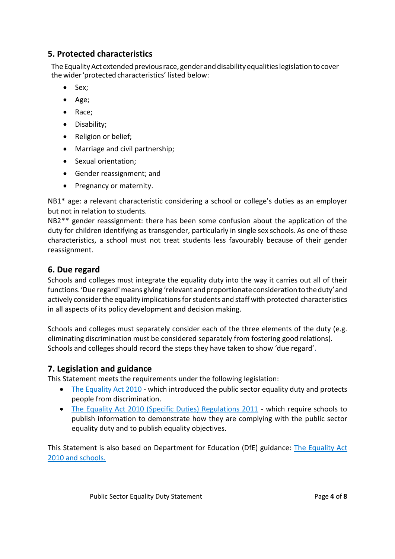## **5. Protected characteristics**

The Equality Act extended previous race, gender and disability equalities legislation to cover thewider'protected characteristics' listed below:

- Sex;
- Age;
- Race;
- Disability;
- Religion or belief;
- Marriage and civil partnership;
- Sexual orientation;
- Gender reassignment; and
- Pregnancy or maternity.

NB1\* age: a relevant characteristic considering a school or college's duties as an employer but not in relation to students.

NB2\*\* gender reassignment: there has been some confusion about the application of the duty for children identifying as transgender, particularly in single sex schools. As one of these characteristics, a school must not treat students less favourably because of their gender reassignment.

#### **6. Due regard**

Schools and colleges must integrate the equality duty into the way it carries out all of their functions.'Due regard'means giving 'relevantandproportionateconsiderationtotheduty'and actively consider the equality implications for students and staff with protected characteristics in all aspects of its policy development and decision making.

Schools and colleges must separately consider each of the three elements of the duty (e.g. eliminating discrimination must be considered separately from fostering good relations). Schools and colleges should record the steps they have taken to show 'due regard'.

#### **7. Legislation and guidance**

This Statement meets the requirements under the following legislation:

- [The Equality Act 2010](http://www.legislation.gov.uk/ukpga/2010/15/contents) which introduced the public sector equality duty and protects people from discrimination.
- [The Equality Act 2010 \(Specific Duties\) Regulations 2011](http://www.legislation.gov.uk/uksi/2011/2260/contents/made) which require schools to publish information to demonstrate how they are complying with the public sector equality duty and to publish equality objectives.

This Statement is also based on Department for Education (DfE) guidance: [The Equality Act](https://www.gov.uk/government/publications/equality-act-2010-advice-for-schools)  [2010 and schools.](https://www.gov.uk/government/publications/equality-act-2010-advice-for-schools)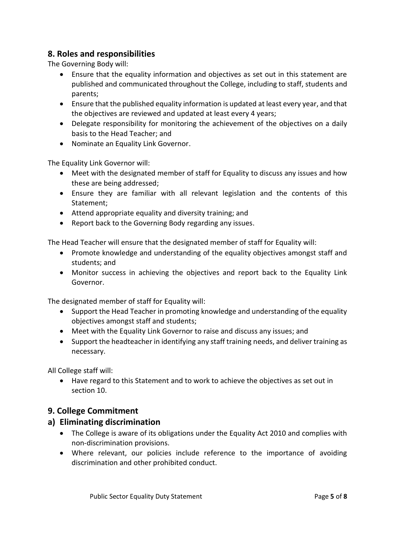## **8. Roles and responsibilities**

The Governing Body will:

- Ensure that the equality information and objectives as set out in this statement are published and communicated throughout the College, including to staff, students and parents;
- Ensure that the published equality information is updated at least every year, and that the objectives are reviewed and updated at least every 4 years;
- Delegate responsibility for monitoring the achievement of the objectives on a daily basis to the Head Teacher; and
- Nominate an Equality Link Governor.

The Equality Link Governor will:

- Meet with the designated member of staff for Equality to discuss any issues and how these are being addressed;
- Ensure they are familiar with all relevant legislation and the contents of this Statement;
- Attend appropriate equality and diversity training; and
- Report back to the Governing Body regarding any issues.

The Head Teacher will ensure that the designated member of staff for Equality will:

- Promote knowledge and understanding of the equality objectives amongst staff and students; and
- Monitor success in achieving the objectives and report back to the Equality Link Governor.

The designated member of staff for Equality will:

- Support the Head Teacher in promoting knowledge and understanding of the equality objectives amongst staff and students;
- Meet with the Equality Link Governor to raise and discuss any issues; and
- Support the headteacher in identifying any staff training needs, and deliver training as necessary.

All College staff will:

• Have regard to this Statement and to work to achieve the objectives as set out in section 10.

#### **9. College Commitment**

#### **a) Eliminating discrimination**

- The College is aware of its obligations under the Equality Act 2010 and complies with non-discrimination provisions.
- Where relevant, our policies include reference to the importance of avoiding discrimination and other prohibited conduct.

Public Sector Equality Duty Statement **Page 1** of **8**  $\blacksquare$  Page 5 of **8**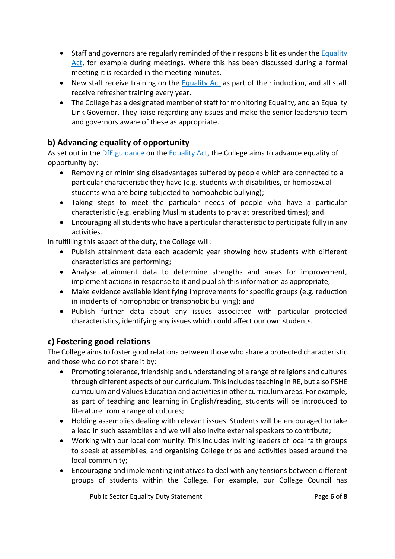- Staff and governors are regularly reminded of their responsibilities under the Equality [Act,](http://www.legislation.gov.uk/ukpga/2010/15/contents) for example during meetings. Where this has been discussed during a formal meeting it is recorded in the meeting minutes.
- New staff receive training on the **Equality Act** as part of their induction, and all staff receive refresher training every year.
- The College has a designated member of staff for monitoring Equality, and an Equality Link Governor. They liaise regarding any issues and make the senior leadership team and governors aware of these as appropriate.

## **b) Advancing equality of opportunity**

As set out in the [DfE guidance](https://www.gov.uk/government/publications/equality-act-2010-advice-for-schools) on th[e Equality Act,](http://www.legislation.gov.uk/ukpga/2010/15/contents) the College aims to advance equality of opportunity by:

- Removing or minimising disadvantages suffered by people which are connected to a particular characteristic they have (e.g. students with disabilities, or homosexual students who are being subjected to homophobic bullying);
- Taking steps to meet the particular needs of people who have a particular characteristic (e.g. enabling Muslim students to pray at prescribed times); and
- Encouraging all students who have a particular characteristic to participate fully in any activities.

In fulfilling this aspect of the duty, the College will:

- Publish attainment data each academic year showing how students with different characteristics are performing;
- Analyse attainment data to determine strengths and areas for improvement, implement actions in response to it and publish this information as appropriate;
- Make evidence available identifying improvements for specific groups (e.g. reduction in incidents of homophobic or transphobic bullying); and
- Publish further data about any issues associated with particular protected characteristics, identifying any issues which could affect our own students.

## **c) Fostering good relations**

The College aims to foster good relations between those who share a protected characteristic and those who do not share it by:

- Promoting tolerance, friendship and understanding of a range of religions and cultures through different aspects of our curriculum. This includes teaching in RE, but also PSHE curriculum and Values Education and activities in other curriculum areas. For example, as part of teaching and learning in English/reading, students will be introduced to literature from a range of cultures;
- Holding assemblies dealing with relevant issues. Students will be encouraged to take a lead in such assemblies and we will also invite external speakers to contribute;
- Working with our local community. This includes inviting leaders of local faith groups to speak at assemblies, and organising College trips and activities based around the local community;
- Encouraging and implementing initiatives to deal with any tensions between different groups of students within the College. For example, our College Council has

Public Sector Equality Duty Statement **Page 6** of 8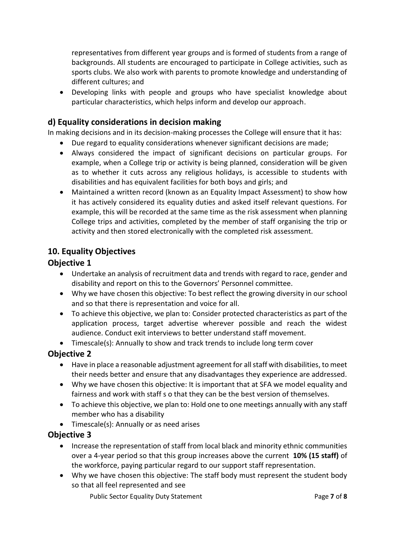representatives from different year groups and is formed of students from a range of backgrounds. All students are encouraged to participate in College activities, such as sports clubs. We also work with parents to promote knowledge and understanding of different cultures; and

• Developing links with people and groups who have specialist knowledge about particular characteristics, which helps inform and develop our approach.

## **d) Equality considerations in decision making**

In making decisions and in its decision-making processes the College will ensure that it has:

- Due regard to equality considerations whenever significant decisions are made;
- Always considered the impact of significant decisions on particular groups. For example, when a College trip or activity is being planned, consideration will be given as to whether it cuts across any religious holidays, is accessible to students with disabilities and has equivalent facilities for both boys and girls; and
- Maintained a written record (known as an Equality Impact Assessment) to show how it has actively considered its equality duties and asked itself relevant questions. For example, this will be recorded at the same time as the risk assessment when planning College trips and activities, completed by the member of staff organising the trip or activity and then stored electronically with the completed risk assessment.

## **10. Equality Objectives**

#### **Objective 1**

- Undertake an analysis of recruitment data and trends with regard to race, gender and disability and report on this to the Governors' Personnel committee.
- Why we have chosen this objective: To best reflect the growing diversity in our school and so that there is representation and voice for all.
- To achieve this objective, we plan to: Consider protected characteristics as part of the application process, target advertise wherever possible and reach the widest audience. Conduct exit interviews to better understand staff movement.
- Timescale(s): Annually to show and track trends to include long term cover

## **Objective 2**

- Have in place a reasonable adjustment agreement for all staff with disabilities, to meet their needs better and ensure that any disadvantages they experience are addressed.
- Why we have chosen this objective: It is important that at SFA we model equality and fairness and work with staff s o that they can be the best version of themselves.
- To achieve this objective, we plan to: Hold one to one meetings annually with any staff member who has a disability
- Timescale(s): Annually or as need arises

## **Objective 3**

- Increase the representation of staff from local black and minority ethnic communities over a 4-year period so that this group increases above the current **10% (15 staff)** of the workforce, paying particular regard to our support staff representation.
- Why we have chosen this objective: The staff body must represent the student body so that all feel represented and see

Public Sector Equality Duty Statement **Page 7** of 8